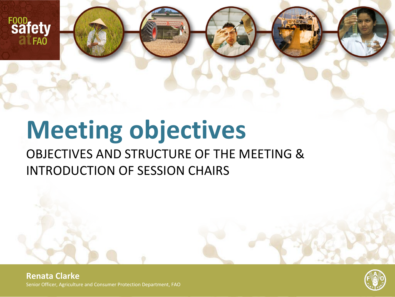

# **Meeting objectives** OBJECTIVES AND STRUCTURE OF THE MEETING & INTRODUCTION OF SESSION CHAIRS

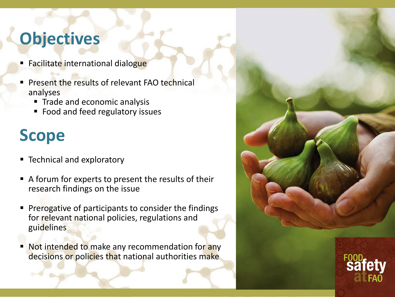#### **Objectives**

- Facilitate international dialogue
- **Present the results of relevant FAO technical** analyses
	- Trade and economic analysis
	- Food and feed regulatory issues

#### **Scope**

- **F** Technical and exploratory
- A forum for experts to present the results of their research findings on the issue
- Prerogative of participants to consider the findings for relevant national policies, regulations and guidelines
- Not intended to make any recommendation for any decisions or policies that national authorities make

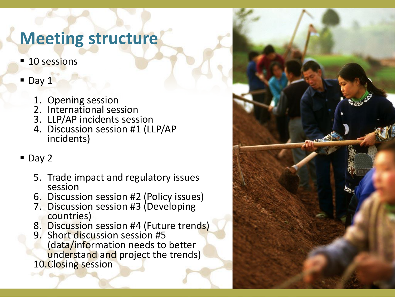#### **Meeting structure**

- **10 sessions**
- Day 1
	- 1. Opening session
	- 2. International session
	- 3. LLP/AP incidents session
	- 4. Discussion session #1 (LLP/AP incidents)
- Day 2
	- 5. Trade impact and regulatory issues session
	- 6. Discussion session #2 (Policy issues)
	- 7. Discussion session #3 (Developing countries)
	- 8. Discussion session #4 (Future trends)
	- 9. Short discussion session #5 (data/information needs to better understand and project the trends) 10.Closing session

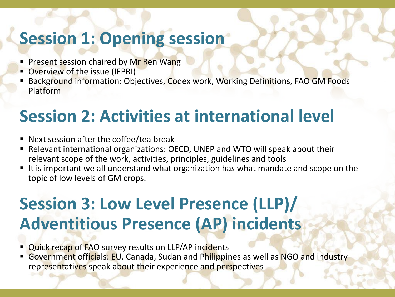#### **Session 1: Opening session**

- **Present session chaired by Mr Ren Wang**
- **Overview of the issue (IFPRI)**
- Background information: Objectives, Codex work, Working Definitions, FAO GM Foods Platform

### **Session 2: Activities at international level**

- Next session after the coffee/tea break
- Relevant international organizations: OECD, UNEP and WTO will speak about their relevant scope of the work, activities, principles, guidelines and tools
- It is important we all understand what organization has what mandate and scope on the topic of low levels of GM crops.

# **Session 3: Low Level Presence (LLP)/ Adventitious Presence (AP) incidents**

- Quick recap of FAO survey results on LLP/AP incidents
- Government officials: EU, Canada, Sudan and Philippines as well as NGO and industry representatives speak about their experience and perspectives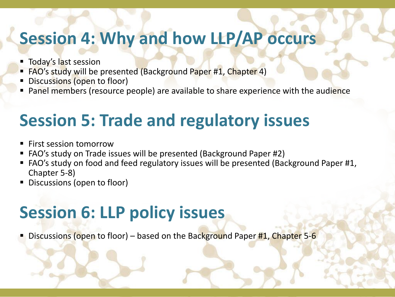#### **Session 4: Why and how LLP/AP occurs**

- **Today's last session**
- FAO's study will be presented (Background Paper #1, Chapter 4)
- Discussions (open to floor)
- Panel members (resource people) are available to share experience with the audience

# **Session 5: Trade and regulatory issues**

- First session tomorrow
- FAO's study on Trade issues will be presented (Background Paper #2)
- FAO's study on food and feed regulatory issues will be presented (Background Paper #1, Chapter 5-8)
- Discussions (open to floor)

# **Session 6: LLP policy issues**

Discussions (open to floor) – based on the Background Paper #1, Chapter 5-6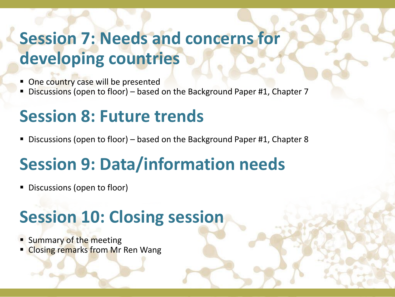# **Session 7: Needs and concerns for developing countries**

- One country case will be presented
- Discussions (open to floor) based on the Background Paper #1, Chapter 7

#### **Session 8: Future trends**

Discussions (open to floor) – based on the Background Paper #1, Chapter 8

# **Session 9: Data/information needs**

Discussions (open to floor)

# **Session 10: Closing session**

- Summary of the meeting
- **Closing remarks from Mr Ren Wang**